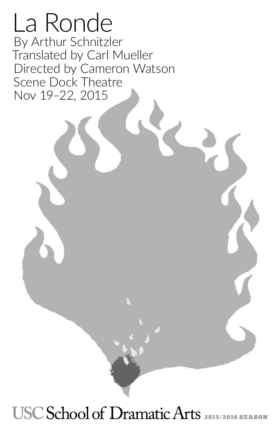La Ronde By [Arthur Schnitzler](https://en.wikipedia.org/wiki/Arthur_Schnitzler) Translated by Carl Mueller Directed by Cameron Watson Scene Dock Theatre Nov 19–22, 2015

# USC School of Dramatic Arts 2015/2016 SEASON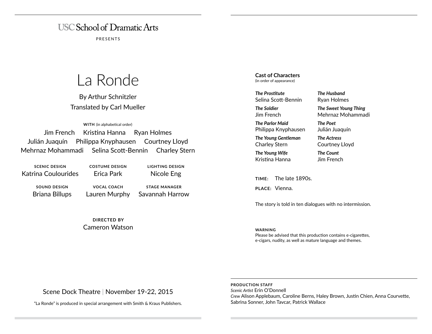# **USC School of Dramatic Arts**

PRESENTS

# La Ronde

By [Arthur Schnitzler](https://en.wikipedia.org/wiki/Arthur_Schnitzler) Translated by Carl Mueller

**WITH** (in alphabetical order)

Jim French Kristina Hanna Ryan Holmes Julián Juaquín Philippa Knyphausen Courtney Lloyd Mehrnaz Mohammadi Selina Scott-Bennin Charley Stern

**SCENIC DESIGN** Katrina Coulourides **COSTUME DESIGN** Erica Park

**SOUND DESIGN** Briana Billups

**VOCAL COACH** Lauren Murphy

**STAGE MANAGER** Savannah Harrow

**LIGHTING DESIGN** Nicole Eng

**DIRECTED BY** Cameron Watson **Cast of Characters** (in order of appearance)

*The Prostitute* Selina Scott-Bennin

*The Soldier* Jim French

*The Parlor Maid* Philippa Knyphausen

*The Young Gentleman* Charley Stern

*The Young Wife* Kristina Hanna

**TIME:** The late 1890s.

**PLACE:** Vienna.

The story is told in ten dialogues with no intermission.

*The Husband* Ryan Holmes

*The Poet* Julián Juaquín *The Actress* Courtney Lloyd *The Count* Jim French

*The Sweet Young Thing* Mehrnaz Mohammadi

#### **WARNING**

Please be advised that this production contains e-cigarettes, e-cigars, nudity, as well as mature language and themes.

Scene Dock Theatre | November 19-22, 2015

"La Ronde" is produced in special arrangement with Smith & Kraus Publishers.

**PRODUCTION STAFF** *Scenic Artist* Erin O'Donnell *Crew* Alison Applebaum, Caroline Berns, Haley Brown, Justin Chien, Anna Courvette, Sabrina Sonner, John Tavcar, Patrick Wallace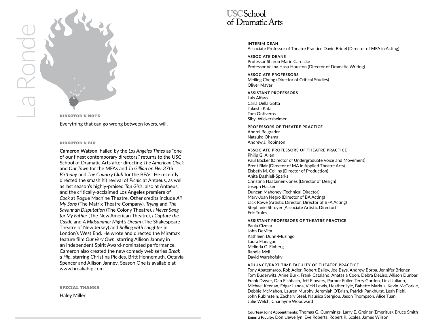

DIRECTOR'S NOTE Everything that can go wrong between lovers, will.

#### DIRECTOR'S BIO

**Cameron Watson**, hailed by the *Los Angeles Times* as "one of our finest contemporary directors," returns to the USC School of Dramatic Arts after directing *The American Clock* and *Our Town* for the MFAs and *To Gillian on Her 37th Birthday* and *The Country Club* for the BFAs. He recently directed the smash hit revival of *Picnic* at Antaeus, as well as last season's highly-praised *Top Girls*, also at Antaeus, and the critically-acclaimed Los Angeles premiere of *Cock* at Rogue Machine Theatre. Other credits include *All My Sons* (The Matrix Theatre Company), *Trying* and *The Savannah Disputation* (The Colony Theatre), *I Never Sang for My Father* (The New American Theatre), *I Capture the Castle* and *A Midsummer Night's Dream* (The Shakespeare Theatre of New Jersey) and *Rolling with Laughter* in London's West End. He wrote and directed the Miramax feature film *Our Very Own*, starring Allison Janney in an Independent Spirit Award-nominated performance. Cameron also created the new comedy web series *Break a Hip*, starring Christina Pickles, Britt Hennemuth, Octavia Spencer and Allison Janney. Season One is available at www.breakahip.com.

SPECIAL THANKS

Haley Miller



**INTERIM DEAN** Associate Professor of Theatre Practice David Bridel (Director of MFA in Acting)

**ASSOCIATE DEANS** Professor Sharon Marie Carnicke Professor Velina Hasu Houston (Director of Dramatic Writing)

**ASSOCIATE PROFESSORS** Meiling Cheng (Director of Critical Studies) Oliver Mayer

#### **ASSISTANT PROFESSORS**

Luis Alfaro Carla Della Gatta Takeshi Kata Tom Ontiveros Sibyl Wickersheimer

**PROFESSORS OF THEATRE PRACTICE** Andrei Belgrader Natsuko Ohama Andrew J. Robinson

**ASSOCIATE PROFESSORS OF THEATRE PRACTICE** Philip G. Allen Paul Backer (Director of Undergraduate Voice and Movement) Brent Blair (Director of MA in Applied Theatre Arts) Elsbeth M. Collins (Director of Production) Anita Dashiell-Sparks Christina Haatainen-Jones (Director of Design) Joseph Hacker Duncan Mahoney (Technical Director) Mary-Joan Negro (Director of BA Acting) Jack Rowe (Artistic Director, Director of BFA Acting) Stephanie Shroyer (Associate Artistic Director) Eric Trules

#### **ASSISTANT PROFESSORS OF THEATRE PRACTICE**

Paula Cizmar John DeMita Kathleen Dunn-Muzingo Laura Flanagan Melinda C. Finberg Randle Mell David Warshofsky

#### **ADJUNCT/PART-TIME FACULTY OF THEATRE PRACTICE**

Tony Abatemarco, Rob Adler, Robert Bailey, Joe Bays, Andrew Borba, Jennifer Brienen, Tom Buderwitz, Anne Burk, Frank Catalano, Anatasia Coon, Debra DeLiso, Allison Dunbar, Frank Dwyer, Dan Fishbach, Jeff Flowers, Parmer Fuller, Terry Gordon, Linzi Juliano, Michael Keenan, Edgar Landa, Vicki Lewis, Heather Lyle, Babette Markus, Kevin McCorkle, Debbie McMahon, Lauren Murphy, Jeremiah O'Brian, Patrick Pankhurst, Leah Piehl, John Rubinstein, Zachary Steel, Nausica Stergiou, Jason Thompson, Alice Tuan, Julie Welch, Charlayne Woodward

**Courtesy Joint Appointments:** Thomas G. Cummings, Larry E. Greiner (Emeritus), Bruce Smith **Emeriti Faculty:** Don Llewellyn, Eve Roberts, Robert R. Scales, James Wilson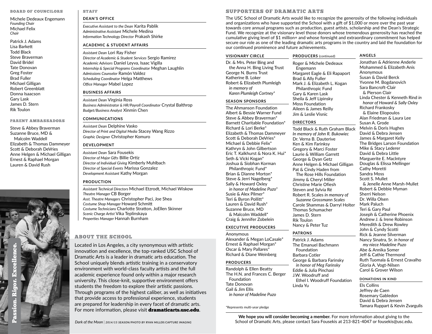#### BOARD OF COUNCILORS

Michele Dedeaux Engemann *Founding Chair* Michael Felix *Chair*

Patrick J. Adams Lisa Barkett Todd Black Steve Braverman David Bridel Tate Donovan Greg Foster Brad Fuller Michael Gilligan Robert Greenblatt Donna Isaacson Gary Lask James D. Stern Rik Toulon

#### PARENT AMBASSADORS

Steve & Abbey Braverman Suzanne Bruce, MD & Malcolm Waddell Elizabeth & Thomas Dammeyer Scott & Deborah DeVries Anne Helgen & Michael Gilligan Ernest & Raphael Morgan Lauren & David Rush



STAFF

### **DEAN'S OFFICE**

*Executive Assistant to the Dean* Karita Pablik *Administrative Assistant* Michele Medina *Information Technology Director* Prakash Shirke

#### **ACADEMIC & STUDENT AFFAIRS**

*Assistant Dean* Lori Ray Fisher *Director of Academic & Student Services* Sergio Ramirez *Academic Advisors* Daniel Leyva, Isaac Vigilla *Internship & Special Programs Coordinator* Meghan Laughlin *Admissions Counselor* Ramón Valdez *Scheduling Coordinator* Helga Matthews *Office Manager* Mabel Lopez

#### **BUSINESS AFFAIRS**

*Assistant Dean* Virginia Ross *Business Administrator & HR/Payroll Coordinator* Crystal Balthrop *Budget/Business Analyst* Xinmin Chen

#### **COMMUNICATIONS**

*Assistant Dean* Delphine Vasko *Director of Print and Digital Media* Stacey Wang Rizzo *Graphic Designer* Christopher Komuro

#### **DEVELOPMENT**

*Assistant Dean* Sara Fousekis *Director of Major Gifts* Billie Ortiz *Director of Individual Giving* Kimberly Muhlbach *Director of Special Events* Marissa Gonzalez *Development Assistant* Kathy Morgan

#### **PRODUCTION**

*Assistant Technical Directors* Michael Etzrodt, Michael Wiskow *Theatre Manager* CB Borger *Asst. Theatre Managers* Christopher Paci, Joe Shea *Costume Shop Manager* Howard Schmitt *Costume Technicians* Charlotte Stratton, JoEllen Skinner *Scenic Charge Artist* Vika Teplinskaya *Properties Manager* Hannah Burnham

# ABOUT THE SCHOOL

Located in Los Angeles, a city synonymous with artistic innovation and excellence, the top-ranked USC School of Dramatic Arts is a leader in dramatic arts education. The School uniquely blends artistic training in a conservatory environment with world-class faculty artists and the full academic experience found only within a major research university. This close-knit, supportive environment offers students the freedom to explore their artistic passions. Through programs of the highest caliber, as well as initiatives that provide access to professional experience, students are prepared for leadership in every facet of dramatic arts. For more information, please visit dramaticarts.usc.edu.

#### SUPPORTERS OF DRAMATIC ARTS

The USC School of Dramatic Arts would like to recognize the generosity of the following individuals and organizations who have supported the School with a gift of \$1,000 or more over the past year towards core annual programs such as production, guest artists, scholarship and the Dean's Strategic Fund. We recognize at the visionary level those donors whose tremendous generosity has reached the cumulative giving level of \$1 million+ and whose foresight and extraordinary commitment has helped secure our role as one of the leading dramatic arts programs in the country and laid the foundation for our continued prominence and future achievements.

# **VISIONARY CIRCLE**

Dr. & Mrs. Peter Bing and the Anna H. Bing Living Trust George N. Burns Trust Katherine B. Loker Robert & Elizabeth Plumleigh *in memory of Karen Plumleigh Cortney\**

#### **SEASON SPONSORS**

The Ahmanson Foundation Albert & Bessie Warner Fund Steve & Abbey Braverman\* Barnett Charitable Foundation\* Richard & Lori Berke\* Elizabeth & Thomas Dammeyer Scott & Deborah DeVries\* Michael & Debbie Felix\* Kathryn & John Gilbertson Eric T. Kalkhurst & Nora K. Hui\* Seth & Vicki Kogan\* Joshua & Siobhan Korman Philanthropic Fund\* Brian & Dianne Morton\* Steve & Jerri Nagelberg\* Sally & Howard Oxley *in honor of Madeline Puzo\** Susie & Alex Pilmer\* Teri & Byron Pollitt\* Lauren & David Rush\* Suzanne Bruce, MD & Malcolm Waddell\* Craig & Jennifer Zobelein

# **EXECUTIVE PRODUCERS**

Anonymous Alexander & Megan LoCasale\* Ernest & Raphael Morgan\* Oscar & Mary Pallares\* Richard & Diane Weinberg

### **PRODUCERS**

Randolph & Ellen Beatty The H.N. and Frances C. Berger Foundation Tate Donovan Gail & Jim Ellis *in honor of Madeline Puzo*

\*Represents multi-year pledge

Roger & Michele Dedeaux Engemann Philanthropic Fund Aileen & James Reilly

**PRODUCERS** (continued)

#### **DIRECTORS**

Jim & Leslie Visnic

Todd Black & Ruth Graham Black *In memory of John R. Bukowiec* Dr. Verna B. Dauterive Ken & Kim Farinksy Gregory & Marci Foster Laurie & William Garrett George & Dyan Getz Anne Helgen & Michael Gilligan Pat & Cindy Haden from The Rose Hills Foundation Jimmy & Cheryl Miller Christine Marie Ofiesh Steven and Sylvia Ré Robert R. Scales *in memory of Suzanne Grossmann Scales* Carole Shammas & Darryl Holter Thomas Schumacher James D. Stern Rik Toulon Nancy & Peter Tuz

#### **PATRONS**

Patrick J. Adams The Emanuel Bachmann Foundation Barbara Cotler George & Barbara Farinsky *in honor of Meg Farinsky* Eddie & Julia Pinchasi J.W. Woodruff and Ethel I. Woodruff Foundation Linda Yu

Margaret Eagle & Eli Rapaport Brad & Ally Fuller Mark J. & Elizabeth L. Kogan Gary & Karen Lask Sheila & Jeff Lipinsky Moss Foundation

### **ANGELS**

Jonathan & Adrienne Anderle Mohammed & Elizabeth Anis Anonymous Susan & David Berck Yvonne M. Bogdanovich Sara Bancroft-Clair & Pierson Clair Linda Chester & Kenneth Rind *in honor of Howard & Sally Oxley*  Richard Frankosky & Elaine Eliopoulos Alan Friedman & Laura Lee Susan A. Grode Melvin & Doris Hughes David & Debra Jensen James & Margaret Kelly The Bridges Larson Foundation Mike & Stacy Lederer David & Debra Little Marguerite E. Maclntyre Douglas & Elissa Mellinger Cathy Moretti Sandra Moss Scott S. Mullet & Jenelle Anne Marsh-Mullet Robert & Debbie Myman Sherri Nelson Dr. Willa Olsen Mark Paluch Teri & Gary Paul Joseph & Catherine Phoenix Andrew J. & Irene Robinson Meredith & Drew Rowley John & Cyndy Scotti Rick & Jeanne Silverman Nancy Sinatra, Sr. *in honor of my niece Madeline Puzo* Abe & Annika Somer Jeff & Cathie Thermond Ruth Tuomala & Ernest Cravalho Gloria A. Vogt-Nilsen Carol & Grover Wilson

#### **DONATIONS IN KIND**

Els Collins Jeffrey de Caen Rosemary Gabledon David & Debra Jensen Tamara Ruppart & Kevin Zvargulis

**We hope you will consider becoming a member.** For more information about giving to the School of Dramatic Arts, please contact Sara Fousekis at 213-821-4047 or fousekis@usc.edu.